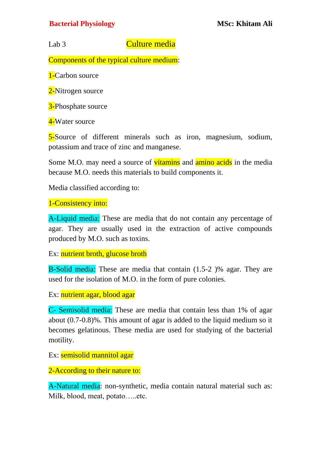## **Bacterial Physiology MSc: Khitam Ali**

Lab 3 Culture media

Components of the typical culture medium:

1-Carbon source

2-Nitrogen source

**3-Phosphate source** 

4-Water source

5-Source of different minerals such as iron, magnesium, sodium, potassium and trace of zinc and manganese.

Some M.O. may need a source of vitamins and amino acids in the media because M.O. needs this materials to build components it.

Media classified according to:

1-Consistency into:

A-Liquid media: These are media that do not contain any percentage of agar. They are usually used in the extraction of active compounds produced by M.O. such as toxins.

Ex: nutrient broth, glucose broth

B-Solid media: These are media that contain (1.5-2 )% agar. They are used for the isolation of M.O. in the form of pure colonies.

Ex: nutrient agar, blood agar

C- Semisolid media: These are media that contain less than 1% of agar about (0.7-0.8)%. This amount of agar is added to the liquid medium so it becomes gelatinous. These media are used for studying of the bacterial motility.

Ex: semisolid mannitol agar

2-According to their nature to:

A-Natural media: non-synthetic, media contain natural material such as: Milk, blood, meat, potato…..etc.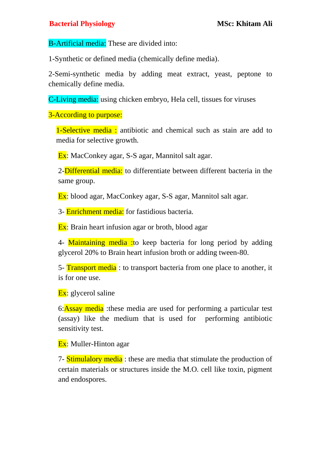B-Artificial media: These are divided into:

1-Synthetic or defined media (chemically define media).

2-Semi-synthetic media by adding meat extract, yeast, peptone to chemically define media.

C-Living media: using chicken embryo, Hela cell, tissues for viruses

3-According to purpose:

1-Selective media : antibiotic and chemical such as stain are add to media for selective growth.

Ex: MacConkey agar, S-S agar, Mannitol salt agar.

2-**Differential media:** to differentiate between different bacteria in the same group.

Ex: blood agar, MacConkey agar, S-S agar, Mannitol salt agar.

3- **Enrichment media:** for fastidious bacteria.

**Ex**: Brain heart infusion agar or broth, blood agar

4- Maintaining media : to keep bacteria for long period by adding glycerol 20% to Brain heart infusion broth or adding tween-80.

5- Transport media : to transport bacteria from one place to another, it is for one use.

**Ex**: glycerol saline

6:Assay media :these media are used for performing a particular test (assay) like the medium that is used for performing antibiotic sensitivity test.

Ex: Muller-Hinton agar

7- Stimulalory media : these are media that stimulate the production of certain materials or structures inside the M.O. cell like toxin, pigment and endospores.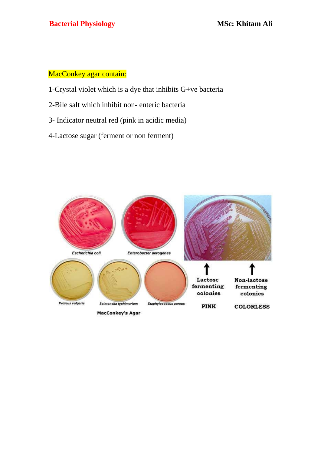## MacConkey agar contain:

- 1-Crystal violet which is a dye that inhibits G**+**ve bacteria
- 2-Bile salt which inhibit non- enteric bacteria
- 3- Indicator neutral red (pink in acidic media)
- 4-Lactose sugar (ferment or non ferment)